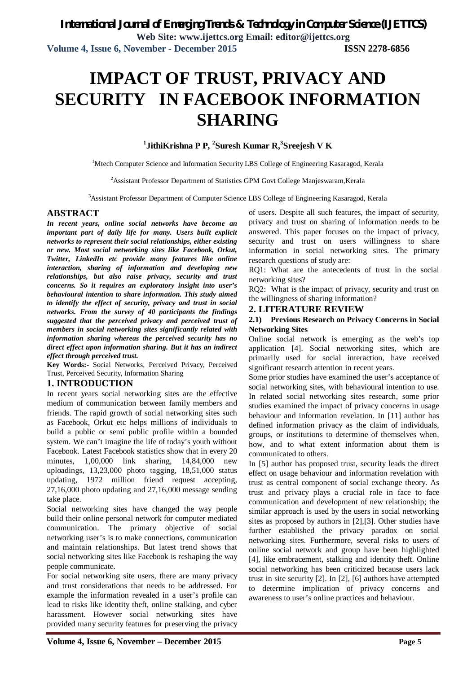# **IMPACT OF TRUST, PRIVACY AND SECURITY IN FACEBOOK INFORMATION SHARING**

# **1 JithiKrishna P P, <sup>2</sup> Suresh Kumar R,<sup>3</sup> Sreejesh V K**

<sup>1</sup>Mtech Computer Science and Information Security LBS College of Engineering Kasaragod, Kerala

<sup>2</sup> Assistant Professor Department of Statistics GPM Govt College Manjeswaram, Kerala

<sup>3</sup>Assistant Professor Department of Computer Science LBS College of Engineering Kasaragod, Kerala

### **ABSTRACT**

*In recent years, online social networks have become an important part of daily life for many. Users built explicit networks to represent their social relationships, either existing or new. Most social networking sites like Facebook, Orkut, Twitter, LinkedIn etc provide many features like online interaction, sharing of information and developing new relationships, but also raise privacy, security and trust concerns. So it requires an exploratory insight into user's behavioural intention to share information. This study aimed to identify the effect of security, privacy and trust in social networks. From the survey of 40 participants the findings suggested that the perceived privacy and perceived trust of members in social networking sites significantly related with information sharing whereas the perceived security has no direct effect upon information sharing. But it has an indirect effect through perceived trust.* 

**Key Words:-** Social Networks, Perceived Privacy, Perceived Trust, Perceived Security, Information Sharing

### **1. INTRODUCTION**

In recent years social networking sites are the effective medium of communication between family members and friends. The rapid growth of social networking sites such as Facebook, Orkut etc helps millions of individuals to build a public or semi public profile within a bounded system. We can't imagine the life of today's youth without Facebook. Latest Facebook statistics show that in every 20 minutes, 1,00,000 link sharing, 14,84,000 new uploadings, 13,23,000 photo tagging, 18,51,000 status updating, 1972 million friend request accepting, 27,16,000 photo updating and 27,16,000 message sending take place.

Social networking sites have changed the way people build their online personal network for computer mediated communication. The primary objective of social networking user's is to make connections, communication and maintain relationships. But latest trend shows that social networking sites like Facebook is reshaping the way people communicate.

For social networking site users, there are many privacy and trust considerations that needs to be addressed. For example the information revealed in a user's profile can lead to risks like identity theft, online stalking, and cyber harassment. However social networking sites have provided many security features for preserving the privacy

of users. Despite all such features, the impact of security, privacy and trust on sharing of information needs to be answered. This paper focuses on the impact of privacy, security and trust on users willingness to share information in social networking sites. The primary research questions of study are:

RQ1: What are the antecedents of trust in the social networking sites?

RQ2: What is the impact of privacy, security and trust on the willingness of sharing information?

#### **2. LITERATURE REVIEW**

#### **2.1) Previous Research on Privacy Concerns in Social Networking Sites**

Online social network is emerging as the web's top application [4]. Social networking sites, which are primarily used for social interaction, have received significant research attention in recent years.

Some prior studies have examined the user's acceptance of social networking sites, with behavioural intention to use. In related social networking sites research, some prior studies examined the impact of privacy concerns in usage behaviour and information revelation. In [11] author has defined information privacy as the claim of individuals, groups, or institutions to determine of themselves when, how, and to what extent information about them is communicated to others.

In [5] author has proposed trust, security leads the direct effect on usage behaviour and information revelation with trust as central component of social exchange theory. As trust and privacy plays a crucial role in face to face communication and development of new relationship; the similar approach is used by the users in social networking sites as proposed by authors in [2],[3]. Other studies have further established the privacy paradox on social networking sites. Furthermore, several risks to users of online social network and group have been highlighted [4], like embracement, stalking and identity theft. Online social networking has been criticized because users lack trust in site security [2]. In [2], [6] authors have attempted to determine implication of privacy concerns and awareness to user's online practices and behaviour.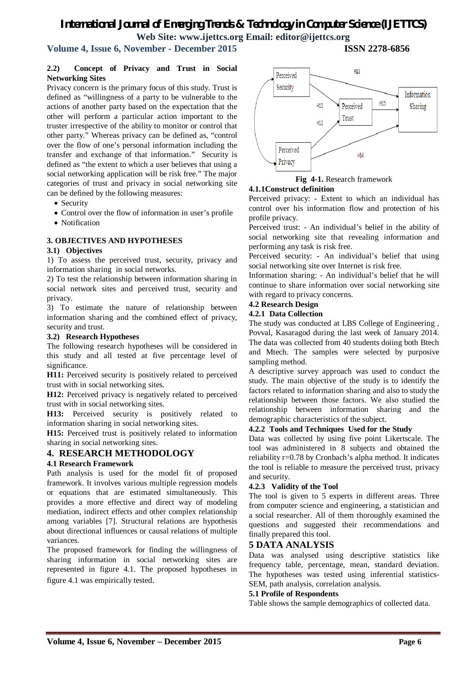# *International Journal of Emerging Trends & Technology in Computer Science (IJETTCS)* **Web Site: www.ijettcs.org Email: editor@ijettcs.org**

# **Volume 4, Issue 6, November - December 2015 ISSN 2278-6856**

#### **2.2) Concept of Privacy and Trust in Social Networking Sites**

Privacy concern is the primary focus of this study. Trust is defined as "willingness of a party to be vulnerable to the actions of another party based on the expectation that the other will perform a particular action important to the truster irrespective of the ability to monitor or control that other party." Whereas privacy can be defined as, "control over the flow of one's personal information including the transfer and exchange of that information." Security is defined as "the extent to which a user believes that using a social networking application will be risk free." The major categories of trust and privacy in social networking site can be defined by the following measures:

- Security
- Control over the flow of information in user's profile
- Notification

### **3. OBJECTIVES AND HYPOTHESES**

#### **3.1) Objectives**

1) To assess the perceived trust, security, privacy and information sharing in social networks.

2) To test the relationship between information sharing in social network sites and perceived trust, security and privacy.

3) To estimate the nature of relationship between information sharing and the combined effect of privacy, security and trust.

#### **3.2) Research Hypotheses**

The following research hypotheses will be considered in this study and all tested at five percentage level of significance.

**H11:** Perceived security is positively related to perceived trust with in social networking sites.

**H12:** Perceived privacy is negatively related to perceived trust with in social networking sites.

**H13:** Perceived security is positively related to information sharing in social networking sites.

**H15:** Perceived trust is positively related to information sharing in social networking sites.

# **4. RESEARCH METHODOLOGY**

#### **4.1 Research Framework**

Path analysis is used for the model fit of proposed framework. It involves various multiple regression models or equations that are estimated simultaneously. This provides a more effective and direct way of modeling mediation, indirect effects and other complex relationship among variables [7]. Structural relations are hypothesis about directional influences or causal relations of multiple variances.

The proposed framework for finding the willingness of sharing information in social networking sites are represented in figure 4.1. The proposed hypotheses in figure 4.1 was empirically tested.





#### **4.1.1Construct definition**

Perceived privacy: - Extent to which an individual has control over his information flow and protection of his profile privacy.

Perceived trust: - An individual's belief in the ability of social networking site that revealing information and performing any task is risk free.

Perceived security: - An individual's belief that using social networking site over Internet is risk free.

Information sharing: - An individual's belief that he will continue to share information over social networking site with regard to privacy concerns.

#### **4.2 Research Design**

#### **4.2.1 Data Collection**

The study was conducted at LBS College of Engineering , Povval, Kasaragod during the last week of January 2014. The data was collected from 40 students doiing both Btech and Mtech. The samples were selected by purposive sampling method.

A descriptive survey approach was used to conduct the study. The main objective of the study is to identify the factors related to information sharing and also to study the relationship between those factors. We also studied the relationship between information sharing and the demographic characteristics of the subject.

#### **4.2.2 Tools and Techniques Used for the Study**

Data was collected by using five point Likertscale. The tool was administered in 8 subjects and obtained the reliability r=0.78 by Cronbach's alpha method. It indicates the tool is reliable to measure the perceived trust, privacy and security.

#### **4.2.3 Validity of the Tool**

The tool is given to 5 experts in different areas. Three from computer science and engineering, a statistician and a social researcher. All of them thoroughly examined the questions and suggested their recommendations and finally prepared this tool.

### **5 DATA ANALYSIS**

Data was analysed using descriptive statistics like frequency table, percentage, mean, standard deviation. The hypotheses was tested using inferential statistics-SEM, path analysis, correlation analysis.

#### **5.1 Profile of Respondents**

Table shows the sample demographics of collected data.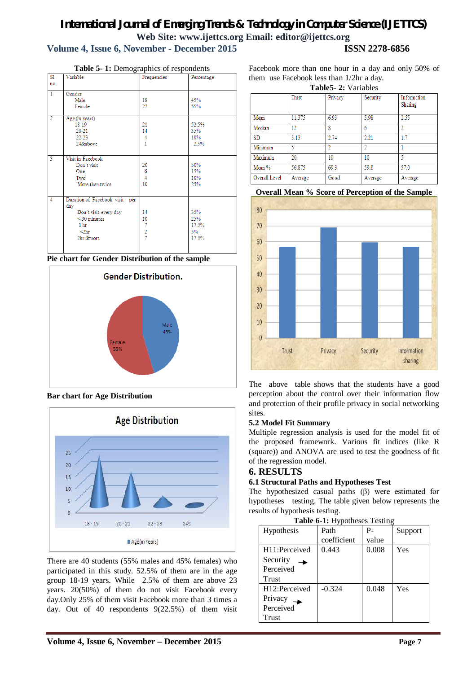# *International Journal of Emerging Trends & Technology in Computer Science (IJETTCS)* **Web Site: www.ijettcs.org Email: editor@ijettcs.org Volume 4, Issue 6, November - December 2015 ISSN 2278-6856**

| S1             | Variable                       | Frequencies    | Percentage |
|----------------|--------------------------------|----------------|------------|
| no.            |                                |                |            |
| $\mathbf{1}$   | Gender                         |                |            |
|                | Male                           | 18             | 45%        |
|                | Female                         | 22             | 55%        |
| $\overline{2}$ | Age (in years)                 |                |            |
|                | 18-19                          | 21             | 52.5%      |
|                | $20 - 21$                      | 14             | 35%        |
|                | $22 - 23$                      | 4              | 10%        |
|                | 24&above                       | 1              | 2.5%       |
| $\overline{3}$ | Visit in Facebook              |                |            |
|                | Don't visit                    | 20             | 50%        |
|                | One                            | 6              | 15%        |
|                | Two                            | $\overline{4}$ | 10%        |
|                | More than twice                | 10             | 25%        |
| $\overline{4}$ | Duration of Facebook visit per |                |            |
|                | day                            |                |            |
|                | Don't visit every day          | 14             | 35%        |
|                | $<$ 30 minutes                 | 10             | 25%        |
|                | 1 <sub>hr</sub>                | $\overline{7}$ | 17.5%      |
|                | $2hr$                          | $\frac{2}{7}$  | 5%         |
|                | 2hr &more                      |                | 17.5%      |

**Table 5- 1:** Demographics of respondents





**Bar chart for Age Distribution**



There are 40 students (55% males and 45% females) who participated in this study. 52.5% of them are in the age group 18-19 years. While 2.5% of them are above 23 years. 20(50%) of them do not visit Facebook every day.Only 25% of them visit Facebook more than 3 times a day. Out of 40 respondents 9(22.5%) of them visit

Facebook more than one hour in a day and only 50% of them use Facebook less than 1/2hr a day.

**Table5- 2:** Variables

|               | Trust   | Privacy | Security | Information<br>Sharing |
|---------------|---------|---------|----------|------------------------|
| Mean          | 11.375  | 6.93    | 5.98     | 2.55                   |
| Median        | 12      | 8       | 6        |                        |
| <b>SD</b>     | 3.13    | 2.74    | 2.21     | 17                     |
| Minimum       |         |         |          |                        |
| Maximum       | 20      | 10      | 10       |                        |
| Mean %        | 56.875  | 69.3    | 59.8     | 57.0                   |
| Overall Level | Average | Good    | Average  | Average                |





The above table shows that the students have a good perception about the control over their information flow and protection of their profile privacy in social networking sites.

# **5.2 Model Fit Summary**

Multiple regression analysis is used for the model fit of the proposed framework. Various fit indices (like R (square)) and ANOVA are used to test the goodness of fit of the regression model.

# **6. RESULTS**

# **6.1 Structural Paths and Hypotheses Test**

The hypothesized casual paths (β) were estimated for hypotheses testing. The table given below represents the results of hypothesis testing.

| Table 6-1: Hypotheses Testing |
|-------------------------------|
|-------------------------------|

| Hypothesis    | Path        | $P -$ | Support |
|---------------|-------------|-------|---------|
|               | coefficient | value |         |
| H11:Perceived | 0.443       | 0.008 | Yes     |
| Security      |             |       |         |
| Perceived     |             |       |         |
| Trust         |             |       |         |
| H12:Perceived | $-0.324$    | 0.048 | Yes     |
| Privacy       |             |       |         |
| Perceived     |             |       |         |
| Trust         |             |       |         |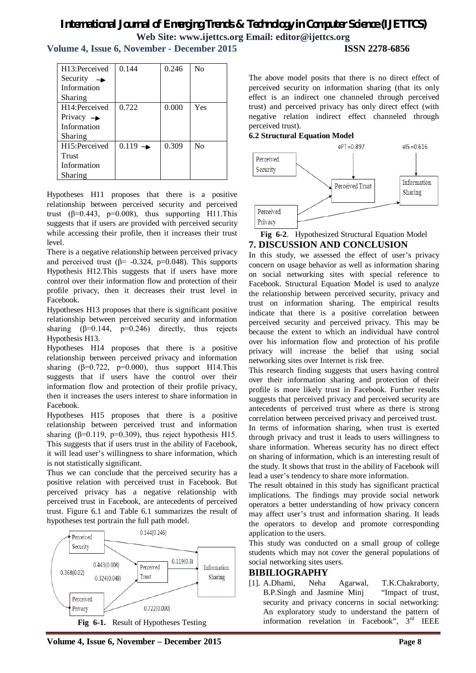# *International Journal of Emerging Trends & Technology in Computer Science (IJETTCS)* **Web Site: www.ijettcs.org Email: editor@ijettcs.org**

**Volume 4, Issue 6, November - December 2015 ISSN 2278-6856**

| H13:Perceived               | 0.144     | 0.246 | $\rm No$ |
|-----------------------------|-----------|-------|----------|
| Security<br>$\rightarrow$   |           |       |          |
| Information                 |           |       |          |
| Sharing                     |           |       |          |
| H <sub>14</sub> :Perceived  | 0.722     | 0.000 | Yes      |
| Privacy $\rightarrow$       |           |       |          |
| Information                 |           |       |          |
| Sharing                     |           |       |          |
| H <sub>15</sub> : Perceived | $0.119 -$ | 0.309 | $\rm No$ |
| Trust                       |           |       |          |
| Information                 |           |       |          |
| Sharing                     |           |       |          |
|                             |           |       |          |

Hypotheses H11 proposes that there is a positive relationship between perceived security and perceived trust ( $\beta$ =0.443, p=0.008), thus supporting H11. This suggests that if users are provided with perceived security while accessing their profile, then it increases their trust level.

There is a negative relationship between perceived privacy and perceived trust ( $\beta$ = -0.324, p=0.048). This supports Hypothesis H12.This suggests that if users have more control over their information flow and protection of their profile privacy, then it decreases their trust level in Facebook.

Hypotheses H13 proposes that there is significant positive relationship between perceived security and information sharing  $(\beta=0.144, p=0.246)$  directly, thus rejects Hypothesis H13.

Hypotheses H14 proposes that there is a positive relationship between perceived privacy and information sharing  $(\beta=0.722, p=0.000)$ , thus support H14. This suggests that if users have the control over their information flow and protection of their profile privacy, then it increases the users interest to share information in Facebook.

Hypotheses H15 proposes that there is a positive relationship between perceived trust and information sharing ( $\beta$ =0.119, p=0.309), thus reject hypothesis H15. This suggests that if users trust in the ability of Facebook. it will lead user's willingness to share information, which is not statistically significant.

Thus we can conclude that the perceived security has a positive relation with perceived trust in Facebook. But perceived privacy has a negative relationship with perceived trust in Facebook, are antecedents of perceived trust. Figure 6.1 and Table 6.1 summarizes the result of hypotheses test portrain the full path model.



The above model posits that there is no direct effect of perceived security on information sharing (that its only effect is an indirect one channeled through perceived trust) and perceived privacy has only direct effect (with negative relation indirect effect channeled through perceived trust).

#### **6.2 Structural Equation Model**



**Fig 6-2**. Hypothesized Structural Equation Model

# **7. DISCUSSION AND CONCLUSION**

In this study, we assessed the effect of user's privacy concern on usage behavior as well as information sharing on social networking sites with special reference to Facebook. Structural Equation Model is used to analyze the relationship between perceived security, privacy and trust on information sharing. The empirical results indicate that there is a positive correlation between perceived security and perceived privacy. This may be because the extent to which an individual have control over his information flow and protection of his profile privacy will increase the belief that using social networking sites over Internet is risk free.

This research finding suggests that users having control over their information sharing and protection of their profile is more likely trust in Facebook. Further results suggests that perceived privacy and perceived security are antecedents of perceived trust where as there is strong correlation between perceived privacy and perceived trust. In terms of information sharing, when trust is exerted through privacy and trust it leads to users willingness to share information. Whereas security has no direct effect on sharing of information, which is an interesting result of the study. It shows that trust in the ability of Facebook will lead a user's tendency to share more information.

The result obtained in this study has significant practical implications. The findings may provide social network operators a better understanding of how privacy concern may affect user's trust and information sharing. It leads the operators to develop and promote corresponding application to the users.

This study was conducted on a small group of college students which may not cover the general populations of social networking sites users.

### **BIBILIOGRAPHY**

[1]. A.Dhami, Neha Agarwal, T.K.Chakraborty, B.P.Singh and Jasmine Minj "Impact of trust, security and privacy concerns in social networking: An exploratory study to understand the pattern of information revelation in Facebook",  $3<sup>rd</sup>$  IEEE